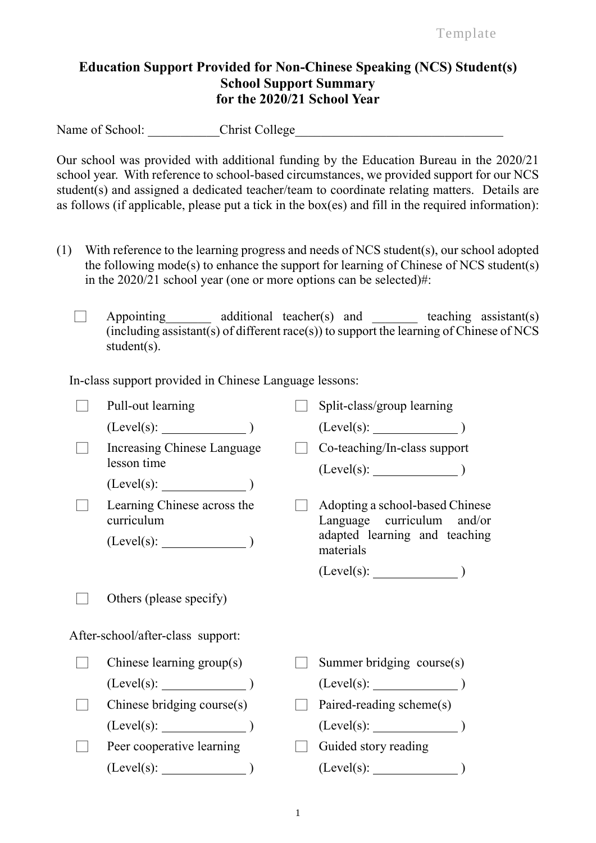Template

## **Education Support Provided for Non-Chinese Speaking (NCS) Student(s) School Support Summary for the 2020/21 School Year**

Name of School: Christ College

Our school was provided with additional funding by the Education Bureau in the 2020/21 school year. With reference to school-based circumstances, we provided support for our NCS student(s) and assigned a dedicated teacher/team to coordinate relating matters. Details are as follows (if applicable, please put a tick in the box(es) and fill in the required information):

- (1) With reference to the learning progress and needs of NCS student(s), our school adopted the following mode(s) to enhance the support for learning of Chinese of NCS student(s) in the 2020/21 school year (one or more options can be selected)#:
	- $\Box$  Appointing additional teacher(s) and teaching assistant(s)  $(including assistant(s) of different race(s))$  to support the learning of Chinese of NCS student(s).

In-class support provided in Chinese Language lessons:

| Pull-out learning                         | Split-class/group learning                                    |
|-------------------------------------------|---------------------------------------------------------------|
| (Level(s):                                |                                                               |
| Increasing Chinese Language               | Co-teaching/In-class support                                  |
| lesson time                               |                                                               |
| $(Level(s):$ $)$                          |                                                               |
| Learning Chinese across the<br>curriculum | Adopting a school-based Chinese<br>Language curriculum and/or |
| (Level(s):                                | adapted learning and teaching<br>materials                    |
|                                           |                                                               |
| Others (please specify)                   |                                                               |
| After-school/after-class support:         |                                                               |
| Chinese learning group(s)                 | Summer bridging course(s)                                     |
| $(Level(s):$ $)$                          | (Level(s):                                                    |
| Chinese bridging course(s)                | Paired-reading scheme(s)                                      |
| $(Level(s):$ (Level(s): (1)               | $(Level(s):$ (Level(s): $)$                                   |
| Peer cooperative learning                 | Guided story reading                                          |
| (Level(s):                                | (Level(s):                                                    |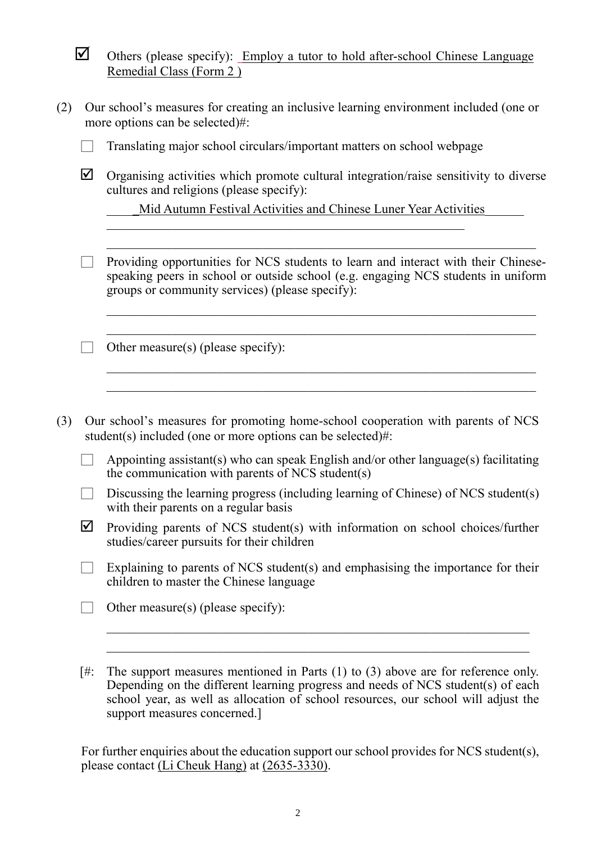| ○ Others (please specify): Employ a tutor to hold after-school Chinese Language |  |  |  |  |  |
|---------------------------------------------------------------------------------|--|--|--|--|--|
| Remedial Class (Form 2)                                                         |  |  |  |  |  |

| (2) Our school's measures for creating an inclusive learning environment included (one or |
|-------------------------------------------------------------------------------------------|
| more options can be selected)#:                                                           |

|  |  | Translating major school circulars/important matters on school webpage |  |  |
|--|--|------------------------------------------------------------------------|--|--|
|  |  |                                                                        |  |  |
|  |  |                                                                        |  |  |
|  |  |                                                                        |  |  |

 $\boxtimes$  Organising activities which promote cultural integration/raise sensitivity to diverse cultures and religions (please specify):

Mid Autumn Festival Activities and Chinese Luner Year Activities

 $\Box$  Providing opportunities for NCS students to learn and interact with their Chinesespeaking peers in school or outside school (e.g. engaging NCS students in uniform groups or community services) (please specify):

 $\mathcal{L}_\text{max} = \mathcal{L}_\text{max} = \mathcal{L}_\text{max} = \mathcal{L}_\text{max} = \mathcal{L}_\text{max} = \mathcal{L}_\text{max} = \mathcal{L}_\text{max} = \mathcal{L}_\text{max} = \mathcal{L}_\text{max} = \mathcal{L}_\text{max} = \mathcal{L}_\text{max} = \mathcal{L}_\text{max} = \mathcal{L}_\text{max} = \mathcal{L}_\text{max} = \mathcal{L}_\text{max} = \mathcal{L}_\text{max} = \mathcal{L}_\text{max} = \mathcal{L}_\text{max} = \mathcal{$ 

 $\mathcal{L}_\text{max} = \mathcal{L}_\text{max} = \mathcal{L}_\text{max} = \mathcal{L}_\text{max} = \mathcal{L}_\text{max} = \mathcal{L}_\text{max} = \mathcal{L}_\text{max} = \mathcal{L}_\text{max} = \mathcal{L}_\text{max} = \mathcal{L}_\text{max} = \mathcal{L}_\text{max} = \mathcal{L}_\text{max} = \mathcal{L}_\text{max} = \mathcal{L}_\text{max} = \mathcal{L}_\text{max} = \mathcal{L}_\text{max} = \mathcal{L}_\text{max} = \mathcal{L}_\text{max} = \mathcal{$ 

 $\Box$  Other measure(s) (please specify):

(3) Our school's measures for promoting home-school cooperation with parents of NCS student(s) included (one or more options can be selected)#:

 $\Box$  Appointing assistant(s) who can speak English and/or other language(s) facilitating the communication with parents of NCS student(s)

- $\Box$  Discussing the learning progress (including learning of Chinese) of NCS student(s) with their parents on a regular basis
- $\triangledown$  Providing parents of NCS student(s) with information on school choices/further studies/career pursuits for their children
- $\Box$  Explaining to parents of NCS student(s) and emphasising the importance for their children to master the Chinese language
- $\Box$  Other measure(s) (please specify):
- [#: The support measures mentioned in Parts (1) to (3) above are for reference only. Depending on the different learning progress and needs of NCS student(s) of each school year, as well as allocation of school resources, our school will adjust the support measures concerned.]

For further enquiries about the education support our school provides for NCS student(s), please contact (Li Cheuk Hang) at (2635-3330).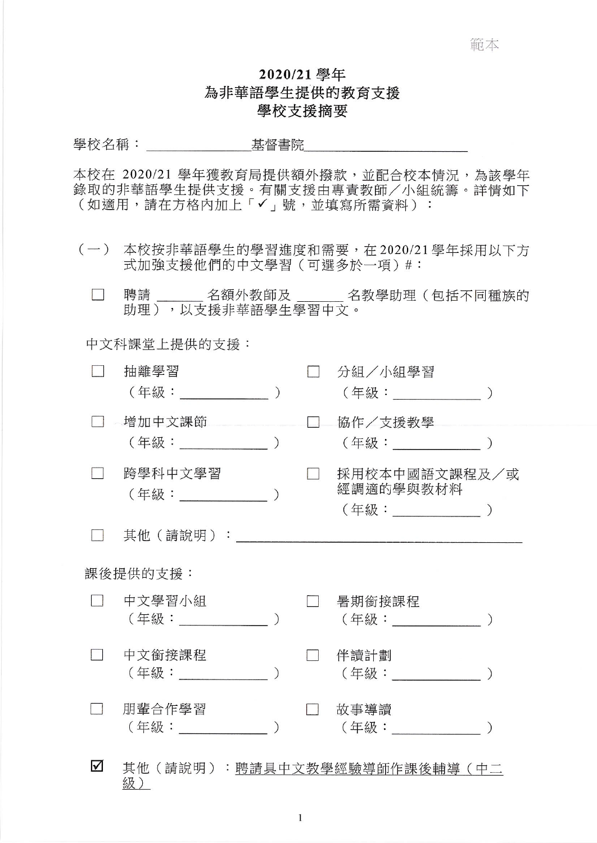## 2020/21 學年 為非華語學生提供的教育支援 學校支援摘要

本校在 2020/21 學年獲教育局提供額外撥款,並配合校本情況,為該學年 錄取的非華語學生提供支援。有關支援由專責教師/小組統籌。詳情如下 (如適用,請在方格內加上「√」號,並填寫所需資料):

- (一) 本校按非華語學生的學習進度和需要,在2020/21學年採用以下方 式加強支援他們的中文學習 (可選多於一項)#:
	- 聘請\_\_\_\_\_\_ 名額外教師及 \_\_\_\_\_\_ 名教學助理(包括不同種族的  $\mathcal{L}^{\mathcal{A}}$ 助理),以支援非華語學生學習中文。

中文科課堂上提供的支援:

|                      | 抽離學習<br>(年級:_________________) |  | 分組/小組學習<br>(年級:______________                     |  |  |  |  |
|----------------------|--------------------------------|--|---------------------------------------------------|--|--|--|--|
|                      | 增加中文課節                         |  | 協作/支援教學                                           |  |  |  |  |
|                      | 跨學科中文學習<br>(年級: )              |  | 採用校本中國語文課程及/或<br>經調適的學與教材料<br>(年級:______________) |  |  |  |  |
|                      | 其他(請說明):                       |  |                                                   |  |  |  |  |
| 課後提供的支援:             |                                |  |                                                   |  |  |  |  |
|                      | 中文學習小組<br>(年級:                 |  | 暑期銜接課程<br>(年級:_____________                       |  |  |  |  |
|                      | 中文銜接課程<br>( 年級 :               |  | 伴讀計劃<br>( 年級 :                                    |  |  |  |  |
|                      | 朋輩合作學習<br>(年級:) しゅうしょう しょうしょう  |  | 故事導讀<br>( 年級 :                                    |  |  |  |  |
| $\blacktriangledown$ | 級)                             |  | 其他(請說明):聘請具中文教學經驗導師作課後輔導(中二                       |  |  |  |  |